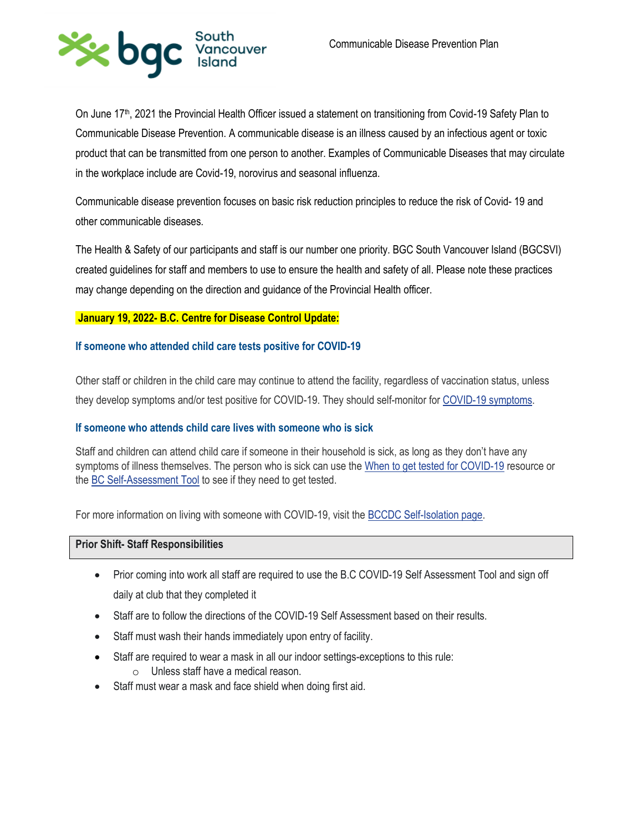

On June 17<sup>th</sup>, 2021 the Provincial Health Officer issued a statement on transitioning from Covid-19 Safety Plan to Communicable Disease Prevention. A communicable disease is an illness caused by an infectious agent or toxic product that can be transmitted from one person to another. Examples of Communicable Diseases that may circulate in the workplace include are Covid-19, norovirus and seasonal influenza.

Communicable disease prevention focuses on basic risk reduction principles to reduce the risk of Covid- 19 and other communicable diseases.

The Health & Safety of our participants and staff is our number one priority. BGC South Vancouver Island (BGCSVI) created guidelines for staff and members to use to ensure the health and safety of all. Please note these practices may change depending on the direction and guidance of the Provincial Health officer.

## **January 19, 2022- B.C. Centre for Disease Control Update:**

## **If someone who attended child care tests positive for COVID-19**

Other staff or children in the child care may continue to attend the facility, regardless of vaccination status, unless they develop symptoms and/or test positive for COVID-19. They should self-monitor for [COVID-19 symptoms.](http://www.bccdc.ca/health-info/diseases-conditions/covid-19/about-covid-19/symptoms)

## **If someone who attends child care lives with someone who is sick**

Staff and children can attend child care if someone in their household is sick, as long as they don't have any symptoms of illness themselves. The person who is sick can use the [When to get tested for COVID-19](http://www.bccdc.ca/health-info/diseases-conditions/covid-19/testing/when-to-get-a-covid-19-test) resource or the [BC Self-Assessment Tool](https://bc.thrive.health/) to see if they need to get tested.

For more information on living with someone with COVID-19, visit the [BCCDC Self-Isolation page.](http://www.bccdc.ca/health-info/diseases-conditions/covid-19/self-isolation)

#### **Prior Shift- Staff Responsibilities**

- Prior coming into work all staff are required to use the B.C COVID-19 Self Assessment Tool and sign off daily at club that they completed it
- Staff are to follow the directions of the COVID-19 Self Assessment based on their results.
- Staff must wash their hands immediately upon entry of facility.
- Staff are required to wear a mask in all our indoor settings-exceptions to this rule: o Unless staff have a medical reason.
- Staff must wear a mask and face shield when doing first aid.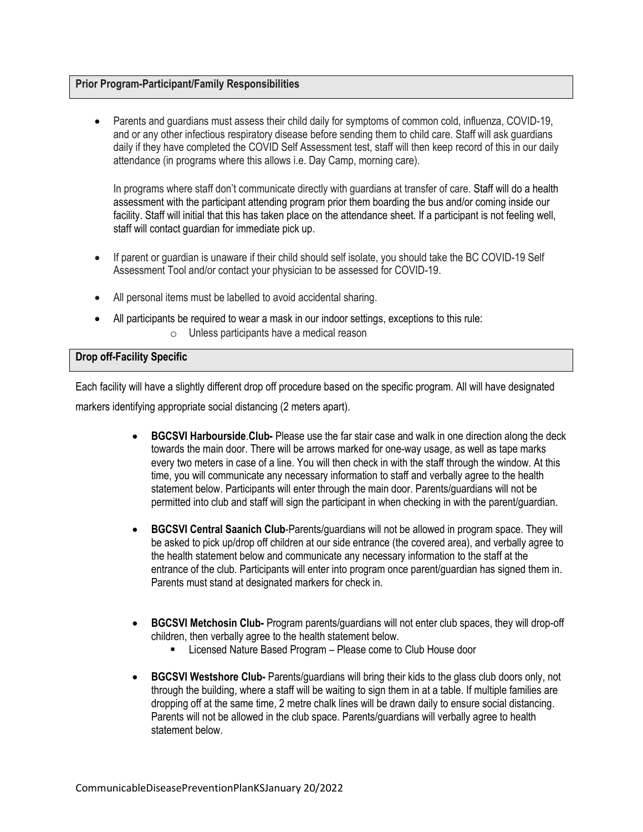## **Prior Program-Participant/Family Responsibilities**

 Parents and guardians must assess their child daily for symptoms of common cold, influenza, COVID-19, and or any other infectious respiratory disease before sending them to child care. Staff will ask guardians daily if they have completed the COVID Self Assessment test, staff will then keep record of this in our daily attendance (in programs where this allows i.e. Day Camp, morning care).

In programs where staff don't communicate directly with guardians at transfer of care. Staff will do a health assessment with the participant attending program prior them boarding the bus and/or coming inside our facility. Staff will initial that this has taken place on the attendance sheet. If a participant is not feeling well, staff will contact guardian for immediate pick up.

- If parent or guardian is unaware if their child should self isolate, you should take the BC COVID-19 Self Assessment Tool and/or contact your physician to be assessed for COVID-19.
- All personal items must be labelled to avoid accidental sharing.
- All participants be required to wear a mask in our indoor settings, exceptions to this rule:
	- o Unless participants have a medical reason

## **Drop off-Facility Specific**

Each facility will have a slightly different drop off procedure based on the specific program. All will have designated markers identifying appropriate social distancing (2 meters apart).

- **BGCSVI Harbourside**.**Club-** Please use the far stair case and walk in one direction along the deck towards the main door. There will be arrows marked for one-way usage, as well as tape marks every two meters in case of a line. You will then check in with the staff through the window. At this time, you will communicate any necessary information to staff and verbally agree to the health statement below. Participants will enter through the main door. Parents/guardians will not be permitted into club and staff will sign the participant in when checking in with the parent/guardian.
- **BGCSVI Central Saanich Club**-Parents/guardians will not be allowed in program space. They will be asked to pick up/drop off children at our side entrance (the covered area), and verbally agree to the health statement below and communicate any necessary information to the staff at the entrance of the club. Participants will enter into program once parent/guardian has signed them in. Parents must stand at designated markers for check in.
- **BGCSVI Metchosin Club-** Program parents/guardians will not enter club spaces, they will drop-off children, then verbally agree to the health statement below.
	- **EXECT:** Licensed Nature Based Program Please come to Club House door
- **BGCSVI Westshore Club-** Parents/guardians will bring their kids to the glass club doors only, not through the building, where a staff will be waiting to sign them in at a table. If multiple families are dropping off at the same time, 2 metre chalk lines will be drawn daily to ensure social distancing. Parents will not be allowed in the club space. Parents/guardians will verbally agree to health statement below.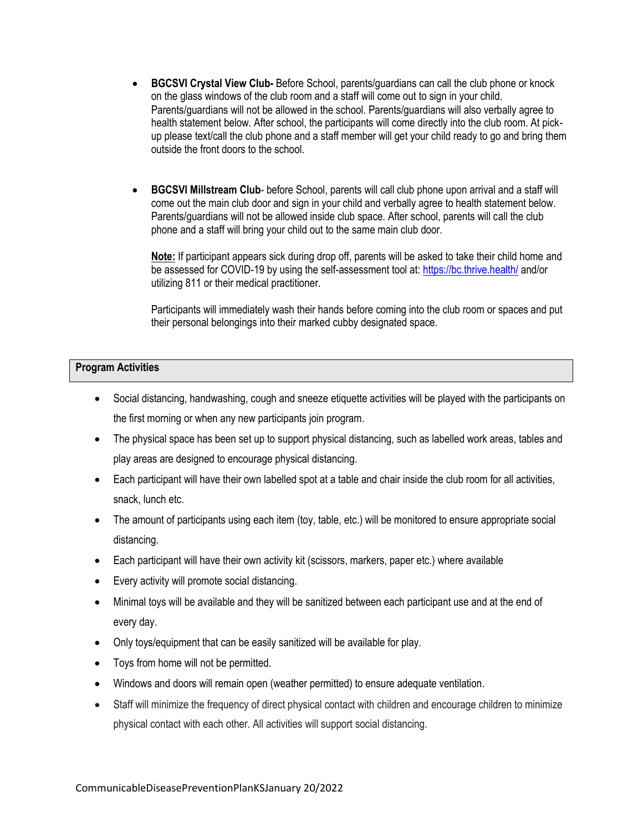- **BGCSVI Crystal View Club-** Before School, parents/guardians can call the club phone or knock on the glass windows of the club room and a staff will come out to sign in your child. Parents/guardians will not be allowed in the school. Parents/guardians will also verbally agree to health statement below. After school, the participants will come directly into the club room. At pickup please text/call the club phone and a staff member will get your child ready to go and bring them outside the front doors to the school.
- **BGCSVI Millstream Club** before School, parents will call club phone upon arrival and a staff will come out the main club door and sign in your child and verbally agree to health statement below. Parents/guardians will not be allowed inside club space. After school, parents will call the club phone and a staff will bring your child out to the same main club door.

**Note:** If participant appears sick during drop off, parents will be asked to take their child home and be assessed for COVID-19 by using the self-assessment tool at[: https://bc.thrive.health/](https://bc.thrive.health/) and/or utilizing 811 or their medical practitioner.

Participants will immediately wash their hands before coming into the club room or spaces and put their personal belongings into their marked cubby designated space.

## **Program Activities**

- Social distancing, handwashing, cough and sneeze etiquette activities will be played with the participants on the first morning or when any new participants join program.
- The physical space has been set up to support physical distancing, such as labelled work areas, tables and play areas are designed to encourage physical distancing.
- Each participant will have their own labelled spot at a table and chair inside the club room for all activities, snack, lunch etc.
- The amount of participants using each item (toy, table, etc.) will be monitored to ensure appropriate social distancing.
- Each participant will have their own activity kit (scissors, markers, paper etc.) where available
- Every activity will promote social distancing.
- Minimal toys will be available and they will be sanitized between each participant use and at the end of every day.
- Only toys/equipment that can be easily sanitized will be available for play.
- Toys from home will not be permitted.
- Windows and doors will remain open (weather permitted) to ensure adequate ventilation.
- Staff will minimize the frequency of direct physical contact with children and encourage children to minimize physical contact with each other. All activities will support social distancing.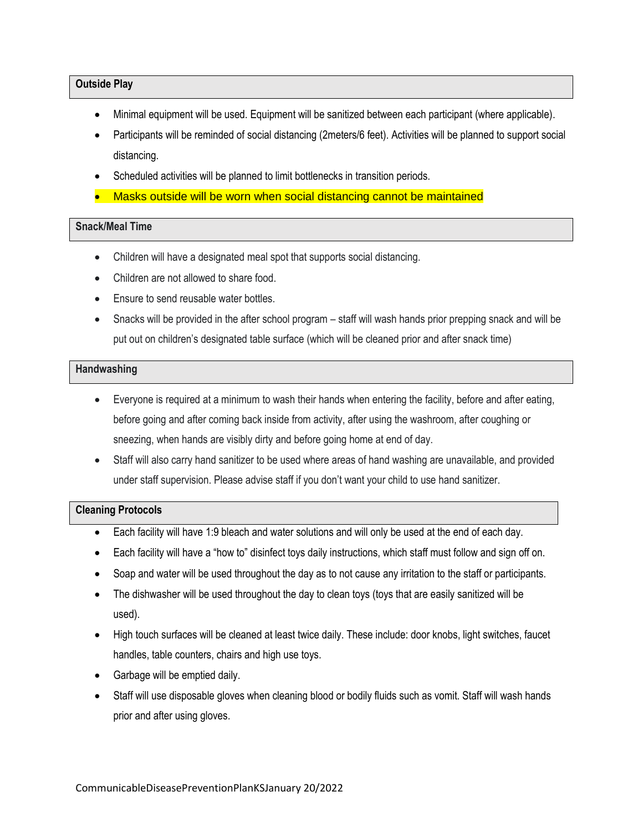#### **Outside Play**

- Minimal equipment will be used. Equipment will be sanitized between each participant (where applicable).
- Participants will be reminded of social distancing (2meters/6 feet). Activities will be planned to support social distancing.
- Scheduled activities will be planned to limit bottlenecks in transition periods.
- Masks outside will be worn when social distancing cannot be maintained

# **Snack/Meal Time**

- Children will have a designated meal spot that supports social distancing.
- Children are not allowed to share food.
- Ensure to send reusable water bottles.
- Snacks will be provided in the after school program staff will wash hands prior prepping snack and will be put out on children's designated table surface (which will be cleaned prior and after snack time)

#### **Handwashing**

- Everyone is required at a minimum to wash their hands when entering the facility, before and after eating, before going and after coming back inside from activity, after using the washroom, after coughing or sneezing, when hands are visibly dirty and before going home at end of day.
- Staff will also carry hand sanitizer to be used where areas of hand washing are unavailable, and provided under staff supervision. Please advise staff if you don't want your child to use hand sanitizer.

## **Cleaning Protocols**

- Each facility will have 1:9 bleach and water solutions and will only be used at the end of each day.
- Each facility will have a "how to" disinfect toys daily instructions, which staff must follow and sign off on.
- Soap and water will be used throughout the day as to not cause any irritation to the staff or participants.
- The dishwasher will be used throughout the day to clean toys (toys that are easily sanitized will be used).
- High touch surfaces will be cleaned at least twice daily. These include: door knobs, light switches, faucet handles, table counters, chairs and high use toys.
- Garbage will be emptied daily.
- Staff will use disposable gloves when cleaning blood or bodily fluids such as vomit. Staff will wash hands prior and after using gloves.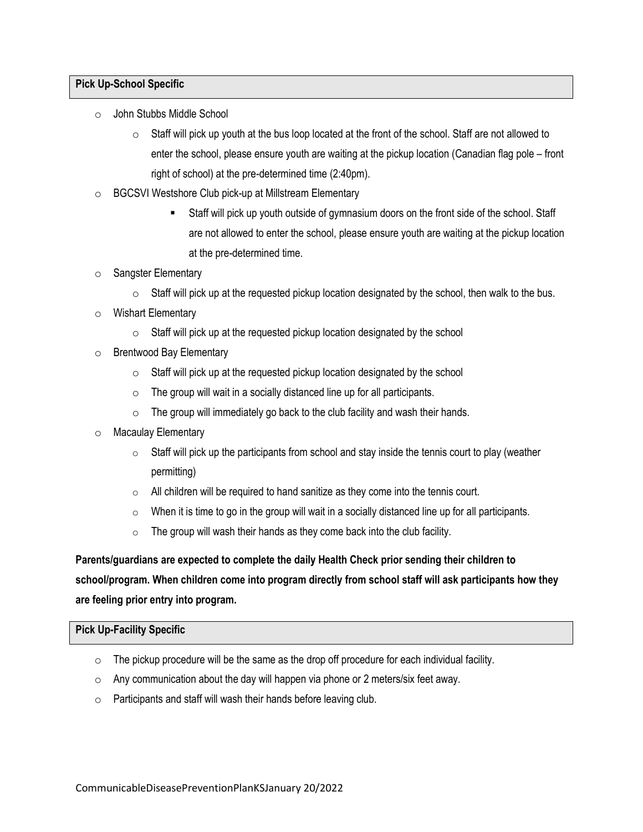## **Pick Up-School Specific**

- o John Stubbs Middle School
	- $\circ$  Staff will pick up youth at the bus loop located at the front of the school. Staff are not allowed to enter the school, please ensure youth are waiting at the pickup location (Canadian flag pole – front right of school) at the pre-determined time (2:40pm).
- o BGCSVI Westshore Club pick-up at Millstream Elementary
	- Staff will pick up youth outside of gymnasium doors on the front side of the school. Staff are not allowed to enter the school, please ensure youth are waiting at the pickup location at the pre-determined time.
- o Sangster Elementary
	- $\circ$  Staff will pick up at the requested pickup location designated by the school, then walk to the bus.
- o Wishart Elementary
	- $\circ$  Staff will pick up at the requested pickup location designated by the school
- o Brentwood Bay Elementary
	- $\circ$  Staff will pick up at the requested pickup location designated by the school
	- $\circ$  The group will wait in a socially distanced line up for all participants.
	- $\circ$  The group will immediately go back to the club facility and wash their hands.
- o Macaulay Elementary
	- $\circ$  Staff will pick up the participants from school and stay inside the tennis court to play (weather permitting)
	- $\circ$  All children will be required to hand sanitize as they come into the tennis court.
	- $\circ$  When it is time to go in the group will wait in a socially distanced line up for all participants.
	- $\circ$  The group will wash their hands as they come back into the club facility.

# **Parents/guardians are expected to complete the daily Health Check prior sending their children to school/program. When children come into program directly from school staff will ask participants how they are feeling prior entry into program.**

## **Pick Up-Facility Specific**

- $\circ$  The pickup procedure will be the same as the drop off procedure for each individual facility.
- $\circ$  Any communication about the day will happen via phone or 2 meters/six feet away.
- o Participants and staff will wash their hands before leaving club.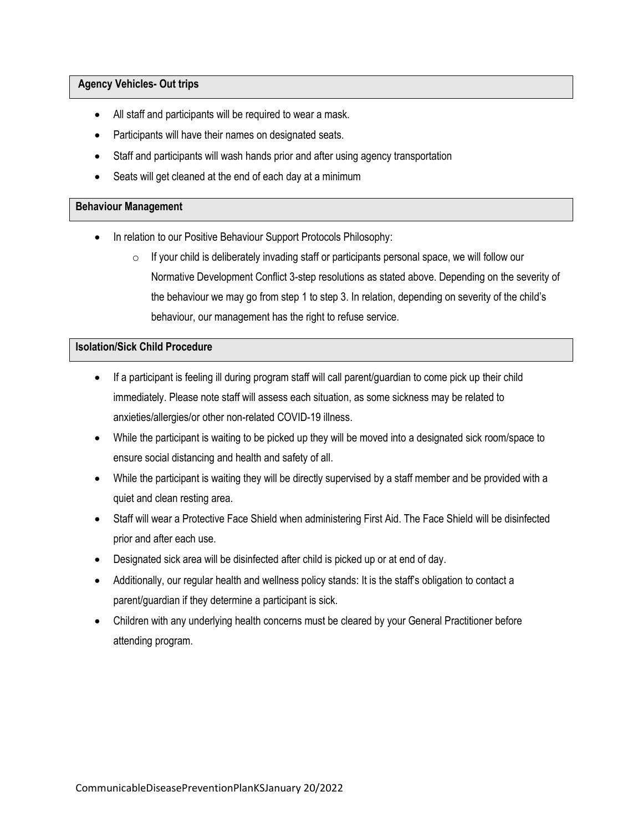## **Agency Vehicles- Out trips**

- All staff and participants will be required to wear a mask.
- Participants will have their names on designated seats.
- Staff and participants will wash hands prior and after using agency transportation
- Seats will get cleaned at the end of each day at a minimum

#### **Behaviour Management**

- In relation to our Positive Behaviour Support Protocols Philosophy:
	- $\circ$  If your child is deliberately invading staff or participants personal space, we will follow our Normative Development Conflict 3-step resolutions as stated above. Depending on the severity of the behaviour we may go from step 1 to step 3. In relation, depending on severity of the child's behaviour, our management has the right to refuse service.

## **Isolation/Sick Child Procedure**

- If a participant is feeling ill during program staff will call parent/guardian to come pick up their child immediately. Please note staff will assess each situation, as some sickness may be related to anxieties/allergies/or other non-related COVID-19 illness.
- While the participant is waiting to be picked up they will be moved into a designated sick room/space to ensure social distancing and health and safety of all.
- While the participant is waiting they will be directly supervised by a staff member and be provided with a quiet and clean resting area.
- Staff will wear a Protective Face Shield when administering First Aid. The Face Shield will be disinfected prior and after each use.
- Designated sick area will be disinfected after child is picked up or at end of day.
- Additionally, our regular health and wellness policy stands: It is the staff's obligation to contact a parent/guardian if they determine a participant is sick.
- Children with any underlying health concerns must be cleared by your General Practitioner before attending program.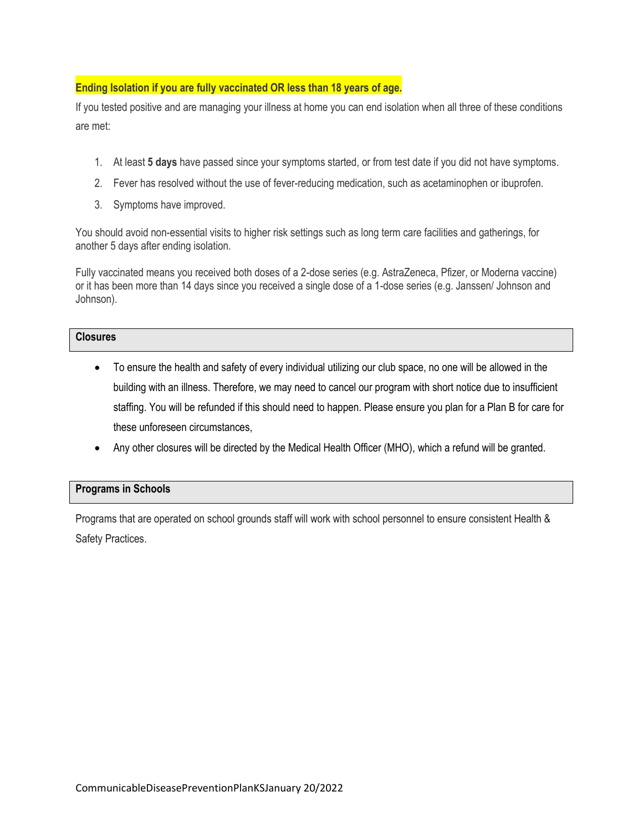## **Ending Isolation if you are fully vaccinated OR less than 18 years of age.**

If you tested positive and are managing your illness at home you can end isolation when all three of these conditions are met:

- 1. At least **5 days** have passed since your symptoms started, or from test date if you did not have symptoms.
- 2. Fever has resolved without the use of fever-reducing medication, such as acetaminophen or ibuprofen.
- 3. Symptoms have improved.

You should avoid non-essential visits to higher risk settings such as long term care facilities and gatherings, for another 5 days after ending isolation.

Fully vaccinated means you received both doses of a 2-dose series (e.g. AstraZeneca, Pfizer, or Moderna vaccine) or it has been more than 14 days since you received a single dose of a 1-dose series (e.g. Janssen/ Johnson and Johnson).

## **Closures**

- To ensure the health and safety of every individual utilizing our club space, no one will be allowed in the building with an illness. Therefore, we may need to cancel our program with short notice due to insufficient staffing. You will be refunded if this should need to happen. Please ensure you plan for a Plan B for care for these unforeseen circumstances,
- Any other closures will be directed by the Medical Health Officer (MHO), which a refund will be granted.

## **Programs in Schools**

Programs that are operated on school grounds staff will work with school personnel to ensure consistent Health & Safety Practices.